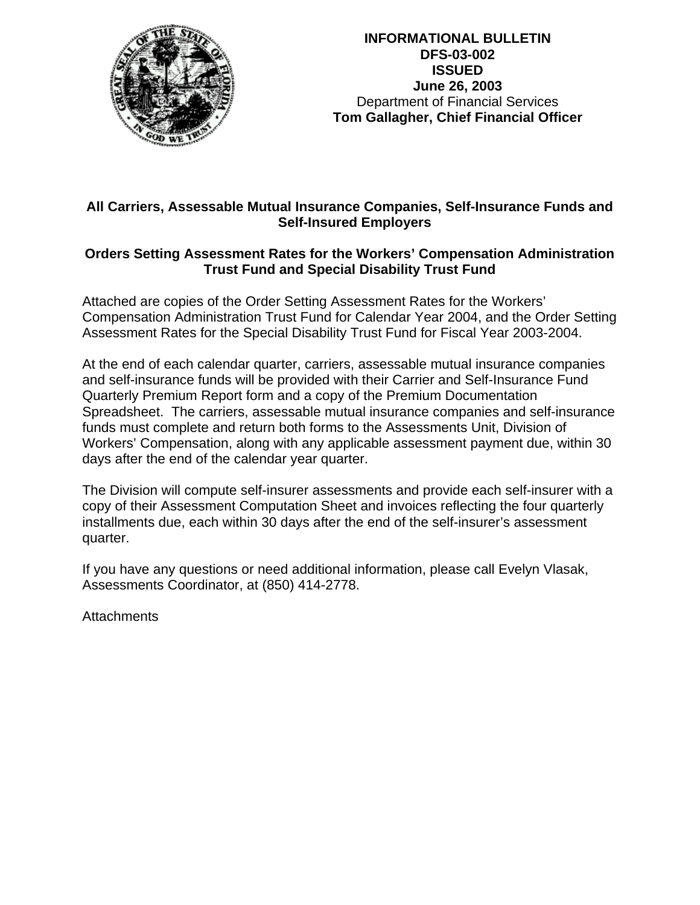

## **All Carriers, Assessable Mutual Insurance Companies, Self-Insurance Funds and Self-Insured Employers**

#### **Orders Setting Assessment Rates for the Workers' Compensation Administration Trust Fund and Special Disability Trust Fund**

Attached are copies of the Order Setting Assessment Rates for the Workers' Compensation Administration Trust Fund for Calendar Year 2004, and the Order Setting Assessment Rates for the Special Disability Trust Fund for Fiscal Year 2003-2004.

At the end of each calendar quarter, carriers, assessable mutual insurance companies and self-insurance funds will be provided with their Carrier and Self-Insurance Fund Quarterly Premium Report form and a copy of the Premium Documentation Spreadsheet. The carriers, assessable mutual insurance companies and self-insurance funds must complete and return both forms to the Assessments Unit, Division of Workers' Compensation, along with any applicable assessment payment due, within 30 days after the end of the calendar year quarter.

The Division will compute self-insurer assessments and provide each self-insurer with a copy of their Assessment Computation Sheet and invoices reflecting the four quarterly installments due, each within 30 days after the end of the self-insurer's assessment quarter.

If you have any questions or need additional information, please call Evelyn Vlasak, Assessments Coordinator, at (850) 414-2778.

**Attachments**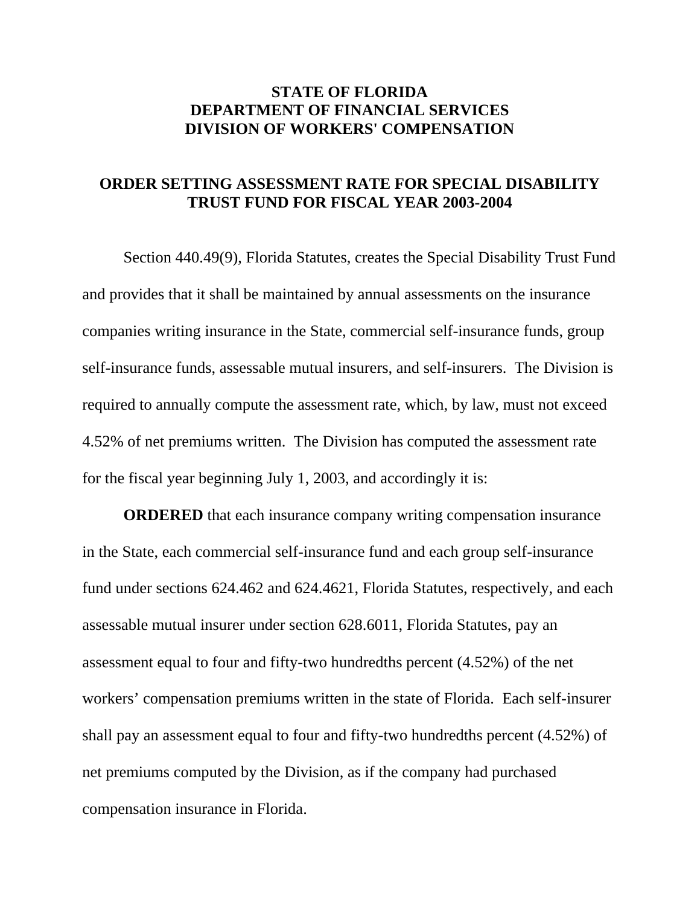## **STATE OF FLORIDA DEPARTMENT OF FINANCIAL SERVICES DIVISION OF WORKERS' COMPENSATION**

### **ORDER SETTING ASSESSMENT RATE FOR SPECIAL DISABILITY TRUST FUND FOR FISCAL YEAR 2003-2004**

 Section 440.49(9), Florida Statutes, creates the Special Disability Trust Fund and provides that it shall be maintained by annual assessments on the insurance companies writing insurance in the State, commercial self-insurance funds, group self-insurance funds, assessable mutual insurers, and self-insurers. The Division is required to annually compute the assessment rate, which, by law, must not exceed 4.52% of net premiums written. The Division has computed the assessment rate for the fiscal year beginning July 1, 2003, and accordingly it is:

**ORDERED** that each insurance company writing compensation insurance in the State, each commercial self-insurance fund and each group self-insurance fund under sections 624.462 and 624.4621, Florida Statutes, respectively, and each assessable mutual insurer under section 628.6011, Florida Statutes, pay an assessment equal to four and fifty-two hundredths percent (4.52%) of the net workers' compensation premiums written in the state of Florida. Each self-insurer shall pay an assessment equal to four and fifty-two hundredths percent (4.52%) of net premiums computed by the Division, as if the company had purchased compensation insurance in Florida.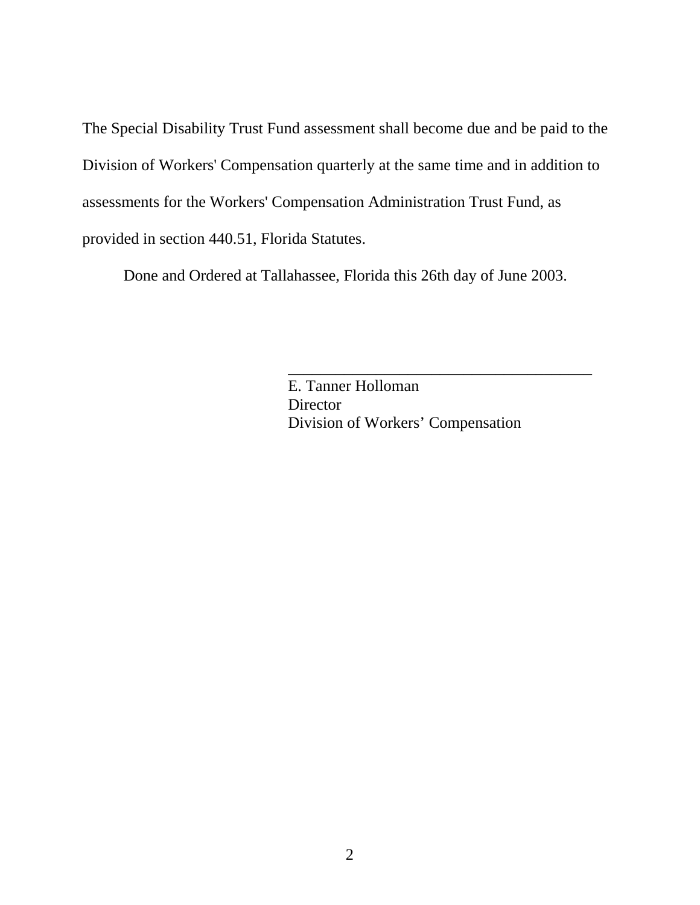The Special Disability Trust Fund assessment shall become due and be paid to the Division of Workers' Compensation quarterly at the same time and in addition to assessments for the Workers' Compensation Administration Trust Fund, as provided in section 440.51, Florida Statutes.

Done and Ordered at Tallahassee, Florida this 26th day of June 2003.

E. Tanner Holloman **Director** Division of Workers' Compensation

\_\_\_\_\_\_\_\_\_\_\_\_\_\_\_\_\_\_\_\_\_\_\_\_\_\_\_\_\_\_\_\_\_\_\_\_\_\_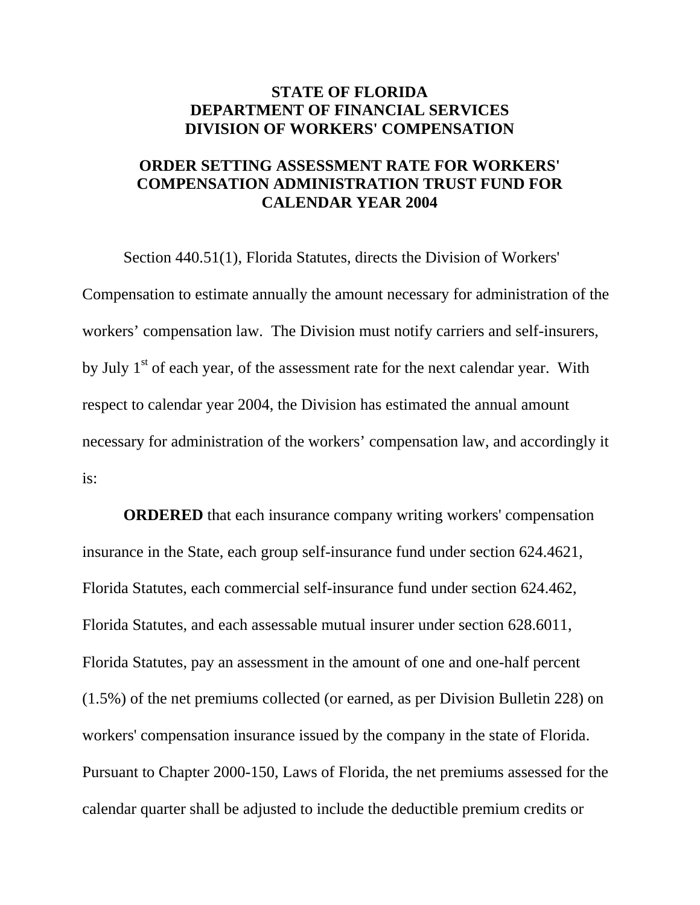## **STATE OF FLORIDA DEPARTMENT OF FINANCIAL SERVICES DIVISION OF WORKERS' COMPENSATION**

# **ORDER SETTING ASSESSMENT RATE FOR WORKERS' COMPENSATION ADMINISTRATION TRUST FUND FOR CALENDAR YEAR 2004**

 Section 440.51(1), Florida Statutes, directs the Division of Workers' Compensation to estimate annually the amount necessary for administration of the workers' compensation law. The Division must notify carriers and self-insurers, by July  $1<sup>st</sup>$  of each year, of the assessment rate for the next calendar year. With respect to calendar year 2004, the Division has estimated the annual amount necessary for administration of the workers' compensation law, and accordingly it is:

**ORDERED** that each insurance company writing workers' compensation insurance in the State, each group self-insurance fund under section 624.4621, Florida Statutes, each commercial self-insurance fund under section 624.462, Florida Statutes, and each assessable mutual insurer under section 628.6011, Florida Statutes, pay an assessment in the amount of one and one-half percent (1.5%) of the net premiums collected (or earned, as per Division Bulletin 228) on workers' compensation insurance issued by the company in the state of Florida. Pursuant to Chapter 2000-150, Laws of Florida, the net premiums assessed for the calendar quarter shall be adjusted to include the deductible premium credits or